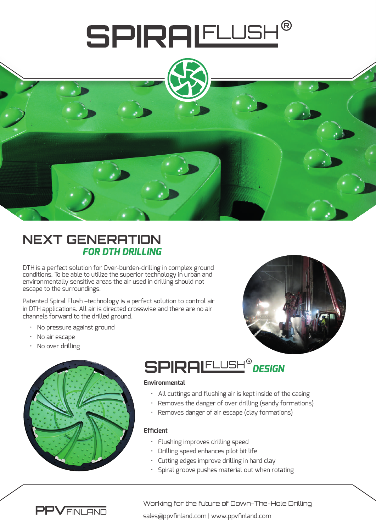

### **NEXT GENERATION** *FOR DTH DRILLING*

DTH is a perfect solution for Over-burden-drilling in complex ground conditions. To be able to utilize the superior technology in urban and environmentally sensitive areas the air used in drilling should not escape to the surroundings.

Patented Spiral Flush –technology is a perfect solution to control air in DTH applications. All air is directed crosswise and there are no air channels forward to the drilled ground.

- No pressure against ground
- No air escape
- No over drilling





## **SPIRALELLISH<sup>®</sup> DESIGN**

#### **Environmental**

- All cuttings and flushing air is kept inside of the casing
- Removes the danger of over drilling (sandy formations)
- Removes danger of air escape (clay formations)

#### **Efficient**

- Flushing improves drilling speed
- Drilling speed enhances pilot bit life
- Cutting edges improve drilling in hard clay
- Spiral groove pushes material out when rotating



Working for the future of Down-The-Hole Drilling

sales@ppvfinland.com | www.ppvfinland.com